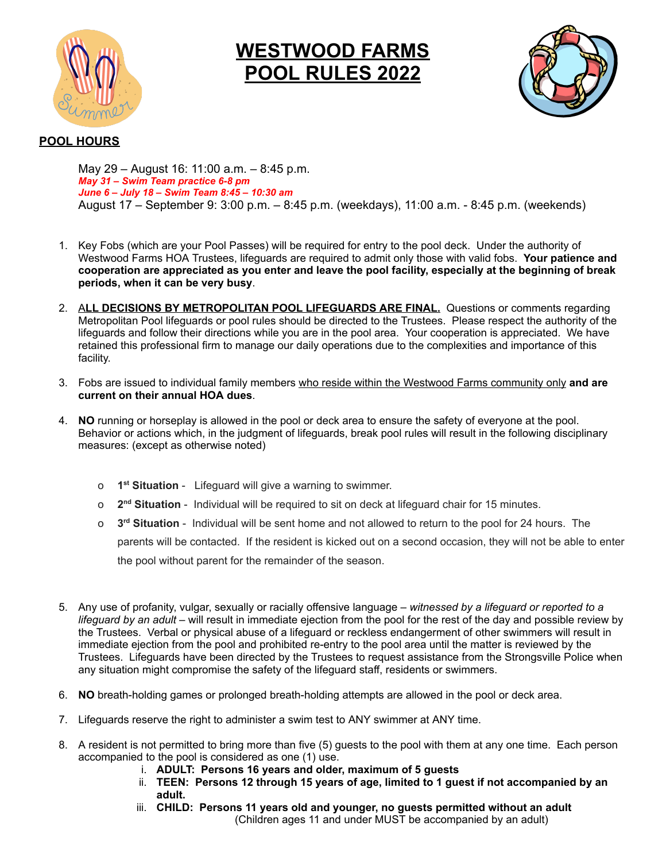

## **WESTWOOD FARMS POOL RULES 2022**



## **POOL HOURS**

May 29 – August 16: 11:00 a.m. – 8:45 p.m. *May 31 – Swim Team practice 6-8 pm June 6 – July 18 – Swim Team 8:45 – 10:30 am* August 17 – September 9: 3:00 p.m. – 8:45 p.m. (weekdays), 11:00 a.m. - 8:45 p.m. (weekends)

- 1. Key Fobs (which are your Pool Passes) will be required for entry to the pool deck. Under the authority of Westwood Farms HOA Trustees, lifeguards are required to admit only those with valid fobs. **Your patience and** cooperation are appreciated as you enter and leave the pool facility, especially at the beginning of break **periods, when it can be very busy**.
- 2. A**LL DECISIONS BY METROPOLITAN POOL LIFEGUARDS ARE FINAL.** Questions or comments regarding Metropolitan Pool lifeguards or pool rules should be directed to the Trustees. Please respect the authority of the lifeguards and follow their directions while you are in the pool area. Your cooperation is appreciated. We have retained this professional firm to manage our daily operations due to the complexities and importance of this facility.
- 3. Fobs are issued to individual family members who reside within the Westwood Farms community only **and are current on their annual HOA dues**.
- 4. **NO** running or horseplay is allowed in the pool or deck area to ensure the safety of everyone at the pool. Behavior or actions which, in the judgment of lifeguards, break pool rules will result in the following disciplinary measures: (except as otherwise noted)
	- o **1 st Situation** Lifeguard will give a warning to swimmer.
	- o **2 nd Situation** Individual will be required to sit on deck at lifeguard chair for 15 minutes.
	- o **3 rd Situation** Individual will be sent home and not allowed to return to the pool for 24 hours. The parents will be contacted. If the resident is kicked out on a second occasion, they will not be able to enter the pool without parent for the remainder of the season.
- 5. Any use of profanity, vulgar, sexually or racially offensive language *witnessed by a lifeguard or reported to a lifeguard by an adult* – will result in immediate ejection from the pool for the rest of the day and possible review by the Trustees. Verbal or physical abuse of a lifeguard or reckless endangerment of other swimmers will result in immediate ejection from the pool and prohibited re-entry to the pool area until the matter is reviewed by the Trustees. Lifeguards have been directed by the Trustees to request assistance from the Strongsville Police when any situation might compromise the safety of the lifeguard staff, residents or swimmers.
- 6. **NO** breath-holding games or prolonged breath-holding attempts are allowed in the pool or deck area.
- 7. Lifeguards reserve the right to administer a swim test to ANY swimmer at ANY time.
- 8. A resident is not permitted to bring more than five (5) guests to the pool with them at any one time. Each person accompanied to the pool is considered as one (1) use.
	- i. **ADULT: Persons 16 years and older, maximum of 5 guests**
	- ii. **TEEN: Persons 12 through 15 years of age, limited to 1 guest if not accompanied by an adult.**
	- iii. **CHILD: Persons 11 years old and younger, no guests permitted without an adult** (Children ages 11 and under MUST be accompanied by an adult)